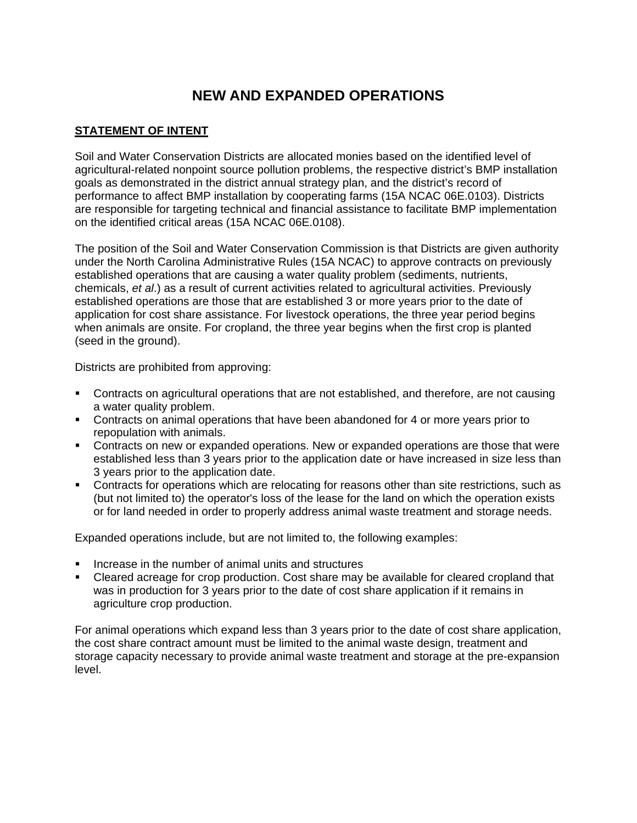## **NEW AND EXPANDED OPERATIONS**

## **STATEMENT OF INTENT**

Soil and Water Conservation Districts are allocated monies based on the identified level of agricultural-related nonpoint source pollution problems, the respective district's BMP installation goals as demonstrated in the district annual strategy plan, and the district's record of performance to affect BMP installation by cooperating farms (15A NCAC 06E.0103). Districts are responsible for targeting technical and financial assistance to facilitate BMP implementation on the identified critical areas (15A NCAC 06E.0108).

The position of the Soil and Water Conservation Commission is that Districts are given authority under the North Carolina Administrative Rules (15A NCAC) to approve contracts on previously established operations that are causing a water quality problem (sediments, nutrients, chemicals, *et al*.) as a result of current activities related to agricultural activities. Previously established operations are those that are established 3 or more years prior to the date of application for cost share assistance. For livestock operations, the three year period begins when animals are onsite. For cropland, the three year begins when the first crop is planted (seed in the ground).

Districts are prohibited from approving:

- Contracts on agricultural operations that are not established, and therefore, are not causing a water quality problem.
- Contracts on animal operations that have been abandoned for 4 or more years prior to repopulation with animals.
- Contracts on new or expanded operations. New or expanded operations are those that were established less than 3 years prior to the application date or have increased in size less than 3 years prior to the application date.
- Contracts for operations which are relocating for reasons other than site restrictions, such as (but not limited to) the operator's loss of the lease for the land on which the operation exists or for land needed in order to properly address animal waste treatment and storage needs.

Expanded operations include, but are not limited to, the following examples:

- **IF** Increase in the number of animal units and structures
- Cleared acreage for crop production. Cost share may be available for cleared cropland that was in production for 3 years prior to the date of cost share application if it remains in agriculture crop production.

For animal operations which expand less than 3 years prior to the date of cost share application, the cost share contract amount must be limited to the animal waste design, treatment and storage capacity necessary to provide animal waste treatment and storage at the pre-expansion level.